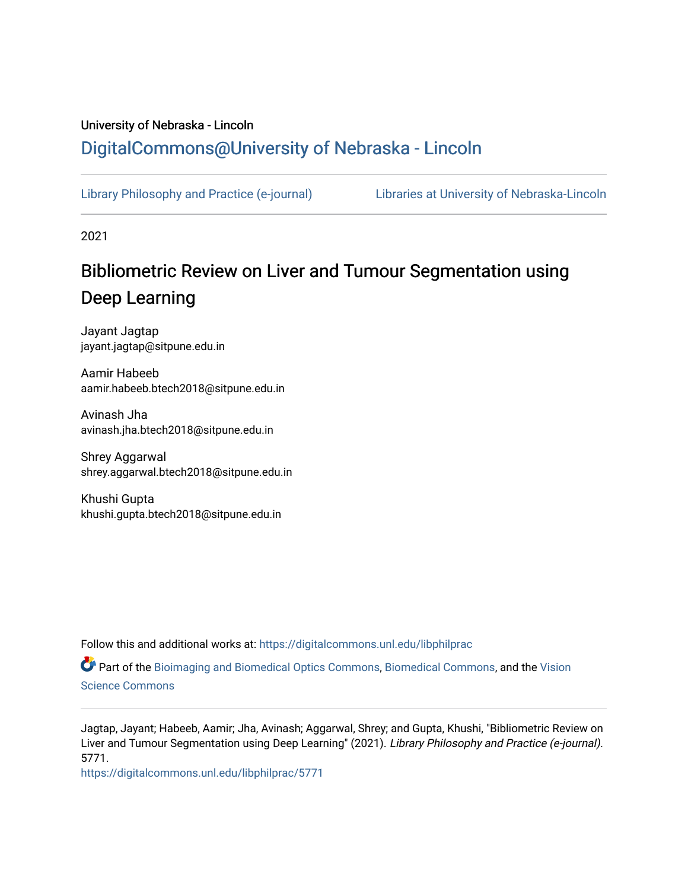# University of Nebraska - Lincoln [DigitalCommons@University of Nebraska - Lincoln](https://digitalcommons.unl.edu/)

[Library Philosophy and Practice \(e-journal\)](https://digitalcommons.unl.edu/libphilprac) [Libraries at University of Nebraska-Lincoln](https://digitalcommons.unl.edu/libraries) 

2021

# Bibliometric Review on Liver and Tumour Segmentation using Deep Learning

Jayant Jagtap jayant.jagtap@sitpune.edu.in

Aamir Habeeb aamir.habeeb.btech2018@sitpune.edu.in

Avinash Jha avinash.jha.btech2018@sitpune.edu.in

Shrey Aggarwal shrey.aggarwal.btech2018@sitpune.edu.in

Khushi Gupta khushi.gupta.btech2018@sitpune.edu.in

Follow this and additional works at: [https://digitalcommons.unl.edu/libphilprac](https://digitalcommons.unl.edu/libphilprac?utm_source=digitalcommons.unl.edu%2Flibphilprac%2F5771&utm_medium=PDF&utm_campaign=PDFCoverPages) 

Part of the [Bioimaging and Biomedical Optics Commons](http://network.bepress.com/hgg/discipline/232?utm_source=digitalcommons.unl.edu%2Flibphilprac%2F5771&utm_medium=PDF&utm_campaign=PDFCoverPages), [Biomedical Commons,](http://network.bepress.com/hgg/discipline/267?utm_source=digitalcommons.unl.edu%2Flibphilprac%2F5771&utm_medium=PDF&utm_campaign=PDFCoverPages) and the [Vision](http://network.bepress.com/hgg/discipline/238?utm_source=digitalcommons.unl.edu%2Flibphilprac%2F5771&utm_medium=PDF&utm_campaign=PDFCoverPages) [Science Commons](http://network.bepress.com/hgg/discipline/238?utm_source=digitalcommons.unl.edu%2Flibphilprac%2F5771&utm_medium=PDF&utm_campaign=PDFCoverPages) 

Jagtap, Jayant; Habeeb, Aamir; Jha, Avinash; Aggarwal, Shrey; and Gupta, Khushi, "Bibliometric Review on Liver and Tumour Segmentation using Deep Learning" (2021). Library Philosophy and Practice (e-journal). 5771.

[https://digitalcommons.unl.edu/libphilprac/5771](https://digitalcommons.unl.edu/libphilprac/5771?utm_source=digitalcommons.unl.edu%2Flibphilprac%2F5771&utm_medium=PDF&utm_campaign=PDFCoverPages)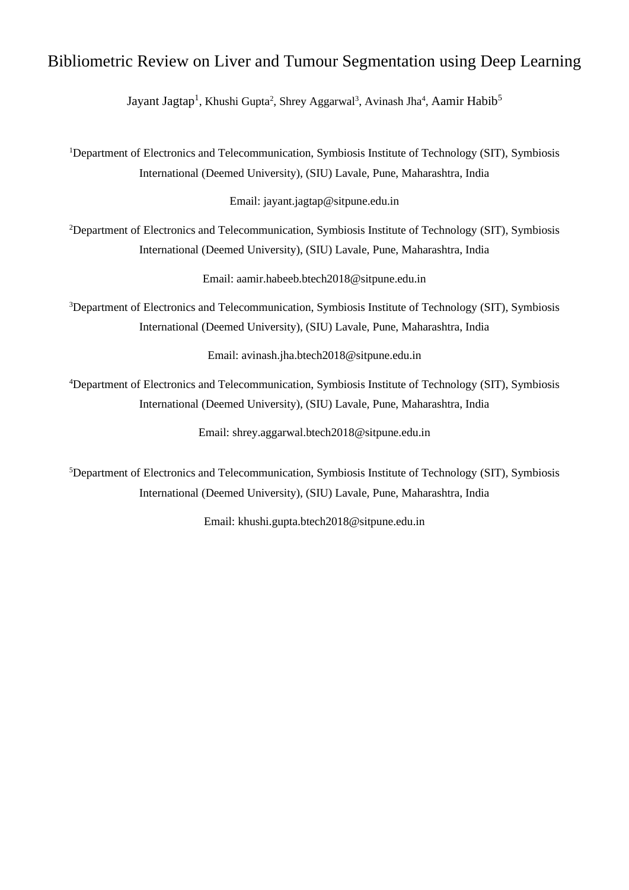# Bibliometric Review on Liver and Tumour Segmentation using Deep Learning

Jayant Jagtap<sup>1</sup>, Khushi Gupta<sup>2</sup>, Shrey Aggarwal<sup>3</sup>, Avinash Jha<sup>4</sup>, Aamir Habib<sup>5</sup>

<sup>1</sup>Department of Electronics and Telecommunication, Symbiosis Institute of Technology (SIT), Symbiosis International (Deemed University), (SIU) Lavale, Pune, Maharashtra, India

Email: [jayant.jagtap@sitpune.edu.in](mailto:jayant.jagtap@sitpune.edu.in)

<sup>2</sup>Department of Electronics and Telecommunication, Symbiosis Institute of Technology (SIT), Symbiosis International (Deemed University), (SIU) Lavale, Pune, Maharashtra, India

Email: [aamir.habeeb.btech2018@sitpune.edu.in](mailto:aamir.habeeb.btech2018@sitpune.edu.in)

<sup>3</sup>Department of Electronics and Telecommunication, Symbiosis Institute of Technology (SIT), Symbiosis International (Deemed University), (SIU) Lavale, Pune, Maharashtra, India

Email: [avinash.jha.btech2018@sitpune.edu.in](mailto:avinash.jha.btech2018@sitpune.edu.in)

<sup>4</sup>Department of Electronics and Telecommunication, Symbiosis Institute of Technology (SIT), Symbiosis International (Deemed University), (SIU) Lavale, Pune, Maharashtra, India

Email: [shrey.aggarwal.btech2018@sitpune.edu.in](mailto:shrey.aggarwal.btech2018@sitpune.edu.in)

<sup>5</sup>Department of Electronics and Telecommunication, Symbiosis Institute of Technology (SIT), Symbiosis International (Deemed University), (SIU) Lavale, Pune, Maharashtra, India

Email: [khushi.gupta.btech2018@sitpune.edu.in](mailto:khushi.gupta.btech2018@sitpune.edu.in)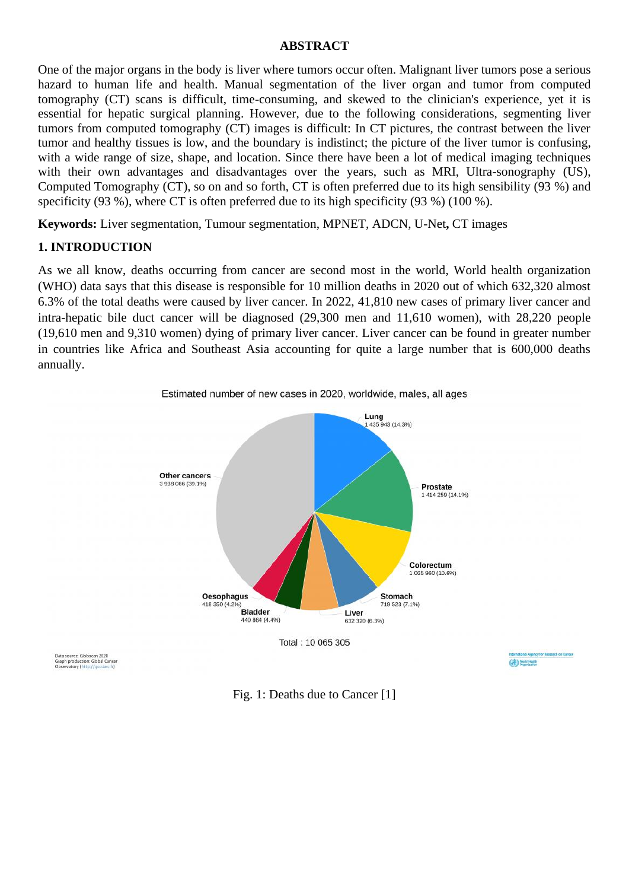#### **ABSTRACT**

One of the major organs in the body is liver where tumors occur often. Malignant liver tumors pose a serious hazard to human life and health. Manual segmentation of the liver organ and tumor from computed tomography (CT) scans is difficult, time-consuming, and skewed to the clinician's experience, yet it is essential for hepatic surgical planning. However, due to the following considerations, segmenting liver tumors from computed tomography (CT) images is difficult: In CT pictures, the contrast between the liver tumor and healthy tissues is low, and the boundary is indistinct; the picture of the liver tumor is confusing, with a wide range of size, shape, and location. Since there have been a lot of medical imaging techniques with their own advantages and disadvantages over the years, such as MRI, Ultra-sonography (US), Computed Tomography (CT), so on and so forth, CT is often preferred due to its high sensibility (93 %) and specificity (93 %), where CT is often preferred due to its high specificity (93 %) (100 %).

**Keywords:** Liver segmentation, Tumour segmentation, MPNET, ADCN, U-Net**,** CT images

## **1. INTRODUCTION**

As we all know, deaths occurring from cancer are second most in the world, World health organization (WHO) data says that this disease is responsible for 10 million deaths in 2020 out of which 632,320 almost 6.3% of the total deaths were caused by liver cancer. In 2022, 41,810 new cases of primary liver cancer and intra-hepatic bile duct cancer will be diagnosed (29,300 men and 11,610 women), with 28,220 people (19,610 men and 9,310 women) dying of primary liver cancer. Liver cancer can be found in greater number in countries like Africa and Southeast Asia accounting for quite a large number that is 600,000 deaths annually.

Estimated number of new cases in 2020, worldwide, males, all ages



Fig. 1: Deaths due to Cancer [1]

Data source: Globocan 2020<br>Graph production: Global Can<br>Observatory (http://gco.iarc.i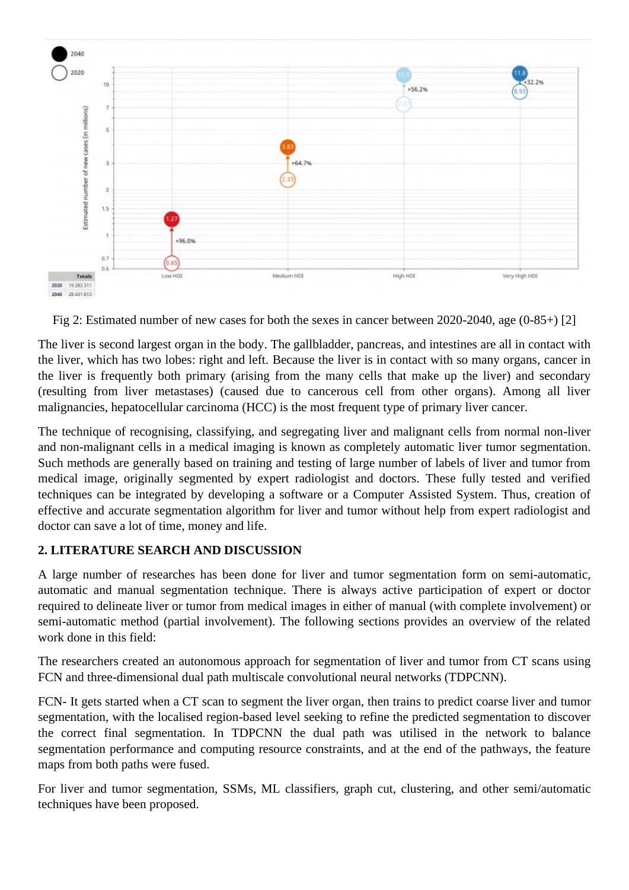

Fig 2: Estimated number of new cases for both the sexes in cancer between 2020-2040, age (0-85+) [2]

The liver is second largest organ in the body. The gallbladder, pancreas, and intestines are all in contact with the liver, which has two lobes: right and left. Because the liver is in contact with so many organs, cancer in the liver is frequently both primary (arising from the many cells that make up the liver) and secondary (resulting from liver metastases) (caused due to cancerous cell from other organs). Among all liver malignancies, hepatocellular carcinoma (HCC) is the most frequent type of primary liver cancer.

The technique of recognising, classifying, and segregating liver and malignant cells from normal non-liver and non-malignant cells in a medical imaging is known as completely automatic liver tumor segmentation. Such methods are generally based on training and testing of large number of labels of liver and tumor from medical image, originally segmented by expert radiologist and doctors. These fully tested and verified techniques can be integrated by developing a software or a Computer Assisted System. Thus, creation of effective and accurate segmentation algorithm for liver and tumor without help from expert radiologist and doctor can save a lot of time, money and life.

# **2. LITERATURE SEARCH AND DISCUSSION**

A large number of researches has been done for liver and tumor segmentation form on semi-automatic, automatic and manual segmentation technique. There is always active participation of expert or doctor required to delineate liver or tumor from medical images in either of manual (with complete involvement) or semi-automatic method (partial involvement). The following sections provides an overview of the related work done in this field:

The researchers created an autonomous approach for segmentation of liver and tumor from CT scans using FCN and three-dimensional dual path multiscale convolutional neural networks (TDPCNN).

FCN- It gets started when a CT scan to segment the liver organ, then trains to predict coarse liver and tumor segmentation, with the localised region-based level seeking to refine the predicted segmentation to discover the correct final segmentation. In TDPCNN the dual path was utilised in the network to balance segmentation performance and computing resource constraints, and at the end of the pathways, the feature maps from both paths were fused.

For liver and tumor segmentation, SSMs, ML classifiers, graph cut, clustering, and other semi/automatic techniques have been proposed.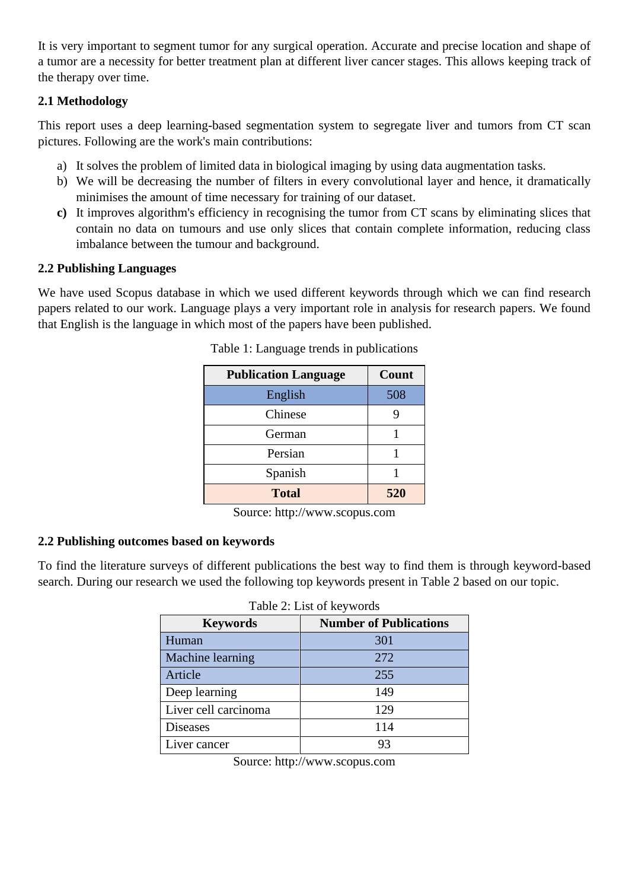It is very important to segment tumor for any surgical operation. Accurate and precise location and shape of a tumor are a necessity for better treatment plan at different liver cancer stages. This allows keeping track of the therapy over time.

# **2.1 Methodology**

This report uses a deep learning-based segmentation system to segregate liver and tumors from CT scan pictures. Following are the work's main contributions:

- a) It solves the problem of limited data in biological imaging by using data augmentation tasks.
- b) We will be decreasing the number of filters in every convolutional layer and hence, it dramatically minimises the amount of time necessary for training of our dataset.
- **c)** It improves algorithm's efficiency in recognising the tumor from CT scans by eliminating slices that contain no data on tumours and use only slices that contain complete information, reducing class imbalance between the tumour and background.

#### **2.2 Publishing Languages**

We have used Scopus database in which we used different keywords through which we can find research papers related to our work. Language plays a very important role in analysis for research papers. We found that English is the language in which most of the papers have been published.

| <b>Publication Language</b> | Count |
|-----------------------------|-------|
| English                     | 508   |
| Chinese                     |       |
| German                      |       |
| Persian                     |       |
| Spanish                     |       |
| <b>Total</b>                | 520   |

| Table 1: Language trends in publications |  |  |
|------------------------------------------|--|--|
|------------------------------------------|--|--|

Source: http://www.scopus.com

#### **2.2 Publishing outcomes based on keywords**

To find the literature surveys of different publications the best way to find them is through keyword-based search. During our research we used the following top keywords present in Table 2 based on our topic.

|                      | $140 \times 2$ . Lest of Rey words |
|----------------------|------------------------------------|
| <b>Keywords</b>      | <b>Number of Publications</b>      |
| Human                | 301                                |
| Machine learning     | 272                                |
| Article              | 255                                |
| Deep learning        | 149                                |
| Liver cell carcinoma | 129                                |
| Diseases             | 114                                |
| Liver cancer         | 93                                 |

| Table 2: List of keywords |  |  |  |
|---------------------------|--|--|--|
|---------------------------|--|--|--|

Source: http://www.scopus.com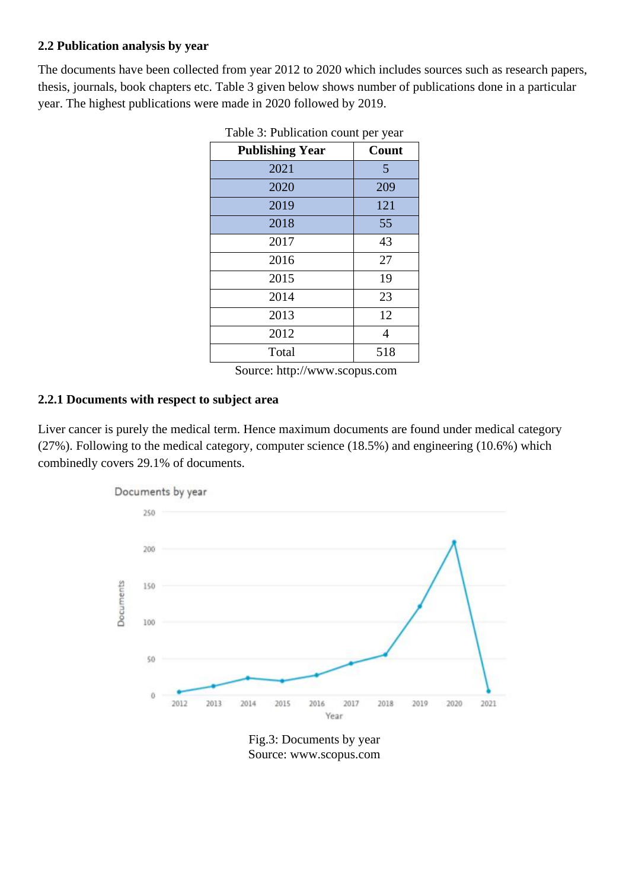#### **2.2 Publication analysis by year**

The documents have been collected from year 2012 to 2020 which includes sources such as research papers, thesis, journals, book chapters etc. Table 3 given below shows number of publications done in a particular year. The highest publications were made in 2020 followed by 2019.

| <b>Publishing Year</b> | Count |
|------------------------|-------|
| 2021                   | 5     |
| 2020                   | 209   |
| 2019                   | 121   |
| 2018                   | 55    |
| 2017                   | 43    |
| 2016                   | 27    |
| 2015                   | 19    |
| 2014                   | 23    |
| 2013                   | 12    |
| 2012                   | 4     |
| Total                  | 518   |

Table 3: Publication count per year

Source: http://www.scopus.com

#### **2.2.1 Documents with respect to subject area**

Liver cancer is purely the medical term. Hence maximum documents are found under medical category (27%). Following to the medical category, computer science (18.5%) and engineering (10.6%) which combinedly covers 29.1% of documents.



Fig.3: Documents by year Source: www.scopus.com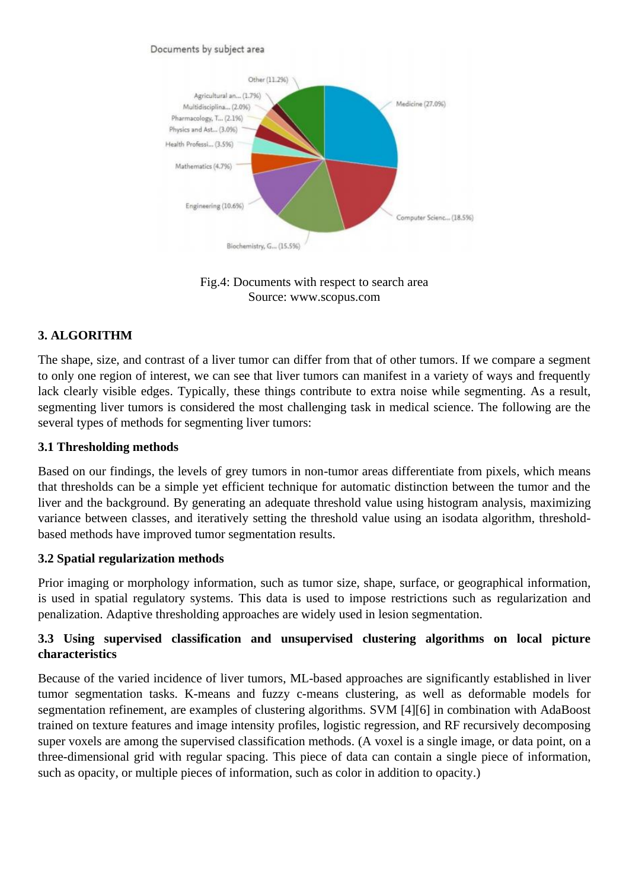#### Documents by subject area



Fig.4: Documents with respect to search area Source: www.scopus.com

#### **3. ALGORITHM**

The shape, size, and contrast of a liver tumor can differ from that of other tumors. If we compare a segment to only one region of interest, we can see that liver tumors can manifest in a variety of ways and frequently lack clearly visible edges. Typically, these things contribute to extra noise while segmenting. As a result, segmenting liver tumors is considered the most challenging task in medical science. The following are the several types of methods for segmenting liver tumors:

#### **3.1 Thresholding methods**

Based on our findings, the levels of grey tumors in non-tumor areas differentiate from pixels, which means that thresholds can be a simple yet efficient technique for automatic distinction between the tumor and the liver and the background. By generating an adequate threshold value using histogram analysis, maximizing variance between classes, and iteratively setting the threshold value using an isodata algorithm, thresholdbased methods have improved tumor segmentation results.

#### **3.2 Spatial regularization methods**

Prior imaging or morphology information, such as tumor size, shape, surface, or geographical information, is used in spatial regulatory systems. This data is used to impose restrictions such as regularization and penalization. Adaptive thresholding approaches are widely used in lesion segmentation.

#### **3.3 Using supervised classification and unsupervised clustering algorithms on local picture characteristics**

Because of the varied incidence of liver tumors, ML-based approaches are significantly established in liver tumor segmentation tasks. K-means and fuzzy c-means clustering, as well as deformable models for segmentation refinement, are examples of clustering algorithms. SVM [4][6] in combination with AdaBoost trained on texture features and image intensity profiles, logistic regression, and RF recursively decomposing super voxels are among the supervised classification methods. (A voxel is a single image, or data point, on a three-dimensional grid with regular spacing. This piece of data can contain a single piece of information, such as opacity, or multiple pieces of information, such as color in addition to opacity.)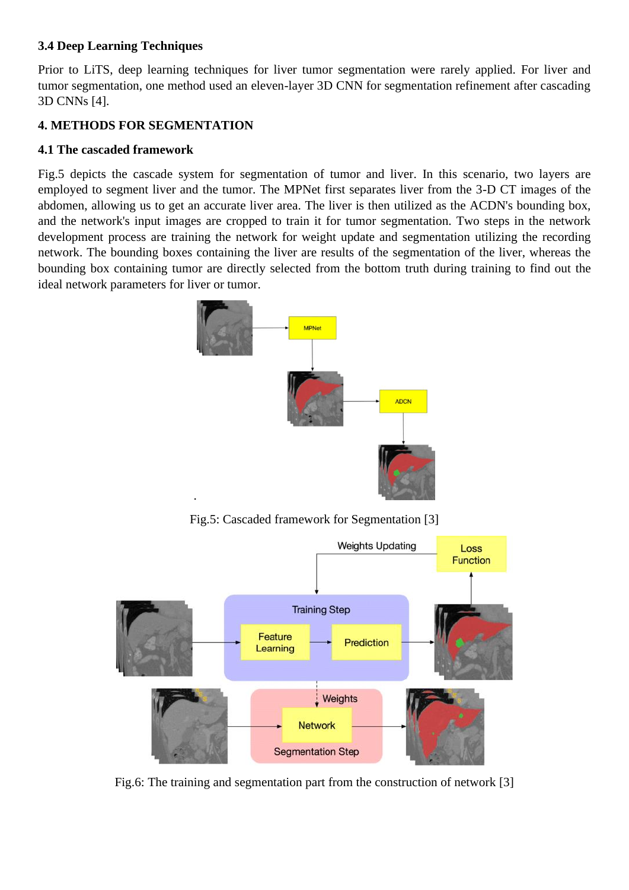#### **3.4 Deep Learning Techniques**

Prior to LiTS, deep learning techniques for liver tumor segmentation were rarely applied. For liver and tumor segmentation, one method used an eleven-layer 3D CNN for segmentation refinement after cascading 3D CNNs [4].

# **4. METHODS FOR SEGMENTATION**

## **4.1 The cascaded framework**

Fig.5 depicts the cascade system for segmentation of tumor and liver. In this scenario, two layers are employed to segment liver and the tumor. The MPNet first separates liver from the 3-D CT images of the abdomen, allowing us to get an accurate liver area. The liver is then utilized as the ACDN's bounding box, and the network's input images are cropped to train it for tumor segmentation. Two steps in the network development process are training the network for weight update and segmentation utilizing the recording network. The bounding boxes containing the liver are results of the segmentation of the liver, whereas the bounding box containing tumor are directly selected from the bottom truth during training to find out the ideal network parameters for liver or tumor.



Fig.5: Cascaded framework for Segmentation [3]



Fig.6: The training and segmentation part from the construction of network [3]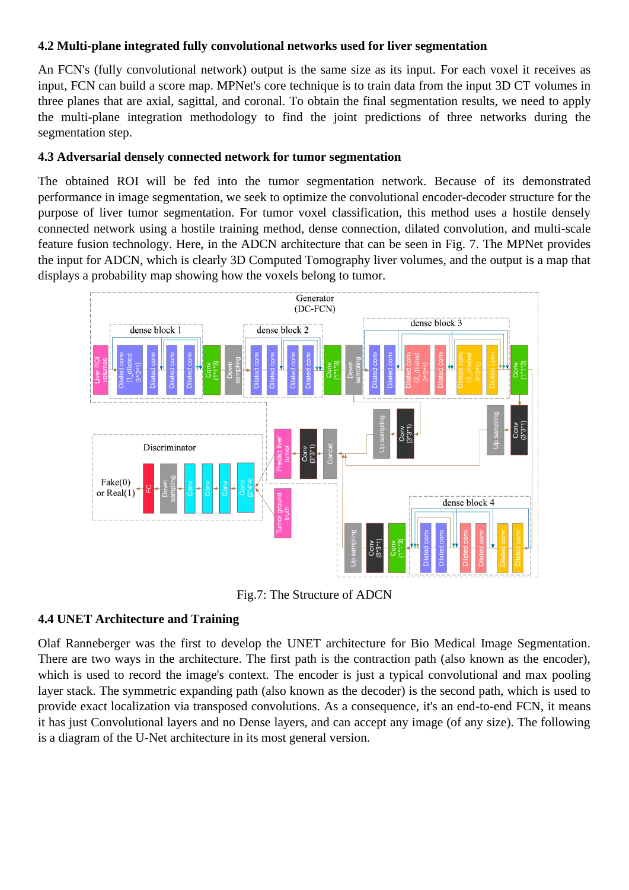#### **4.2 Multi-plane integrated fully convolutional networks used for liver segmentation**

An FCN's (fully convolutional network) output is the same size as its input. For each voxel it receives as input, FCN can build a score map. MPNet's core technique is to train data from the input 3D CT volumes in three planes that are axial, sagittal, and coronal. To obtain the final segmentation results, we need to apply the multi-plane integration methodology to find the joint predictions of three networks during the segmentation step.

#### **4.3 Adversarial densely connected network for tumor segmentation**

The obtained ROI will be fed into the tumor segmentation network. Because of its demonstrated performance in image segmentation, we seek to optimize the convolutional encoder-decoder structure for the purpose of liver tumor segmentation. For tumor voxel classification, this method uses a hostile densely connected network using a hostile training method, dense connection, dilated convolution, and multi-scale feature fusion technology. Here, in the ADCN architecture that can be seen in Fig. 7. The MPNet provides the input for ADCN, which is clearly 3D Computed Tomography liver volumes, and the output is a map that displays a probability map showing how the voxels belong to tumor.



Fig.7: The Structure of ADCN

#### **4.4 UNET Architecture and Training**

Olaf Ranneberger was the first to develop the UNET architecture for Bio Medical Image Segmentation. There are two ways in the architecture. The first path is the contraction path (also known as the encoder), which is used to record the image's context. The encoder is just a typical convolutional and max pooling layer stack. The symmetric expanding path (also known as the decoder) is the second path, which is used to provide exact localization via transposed convolutions. As a consequence, it's an end-to-end FCN, it means it has just Convolutional layers and no Dense layers, and can accept any image (of any size). The following is a diagram of the U-Net architecture in its most general version.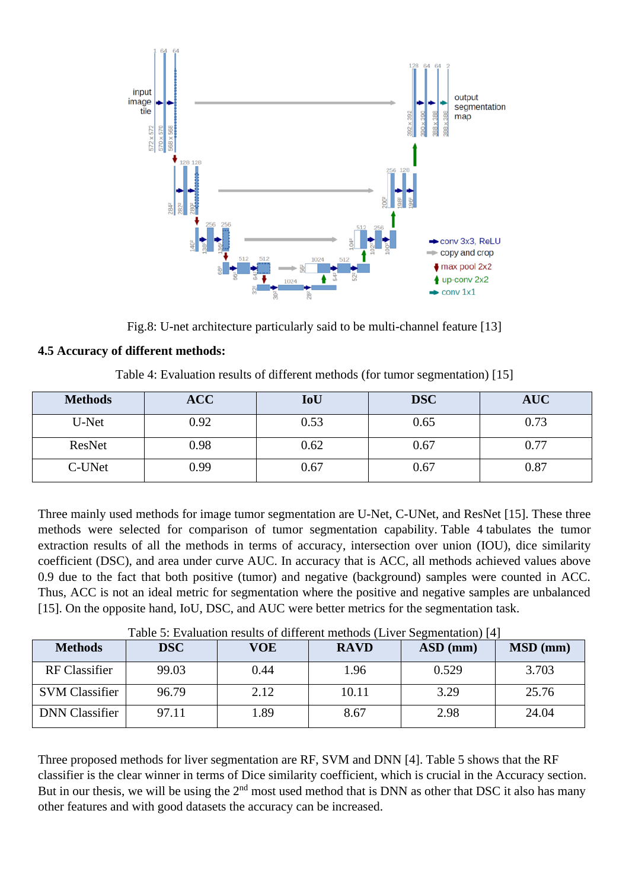

Fig.8: U-net architecture particularly said to be multi-channel feature [13]

#### **4.5 Accuracy of different methods:**

Table 4: Evaluation results of different methods (for tumor segmentation) [15]

| <b>Methods</b> | <b>ACC</b> | IoU  | <b>DSC</b> | <b>AUC</b> |
|----------------|------------|------|------------|------------|
| U-Net          | 0.92       | 0.53 | 0.65       | 0.73       |
| ResNet         | 0.98       | 0.62 | 0.67       | 0.77       |
| C-UNet         | 0.99       | 0.67 | 0.67       | 0.87       |

Three mainly used methods for image tumor segmentation are U-Net, C-UNet, and ResNet [15]. These three methods were selected for comparison of tumor segmentation capability. Table 4 tabulates the tumor extraction results of all the methods in terms of accuracy, intersection over union (IOU), dice similarity coefficient (DSC), and area under curve AUC. In accuracy that is ACC, all methods achieved values above 0.9 due to the fact that both positive (tumor) and negative (background) samples were counted in ACC. Thus, ACC is not an ideal metric for segmentation where the positive and negative samples are unbalanced [15]. On the opposite hand, IoU, DSC, and AUC were better metrics for the segmentation task.

| <b>Methods</b>        | <b>DSC</b> | VOE  | <b>RAVD</b> | $ASD$ (mm) | MSD (mm) |
|-----------------------|------------|------|-------------|------------|----------|
| <b>RF</b> Classifier  | 99.03      | 0.44 | 1.96        | 0.529      | 3.703    |
| <b>SVM Classifier</b> | 96.79      | 2.12 | 10.11       | 3.29       | 25.76    |
| <b>DNN</b> Classifier | 97.11      | 1.89 | 8.67        | 2.98       | 24.04    |

Table 5: Evaluation results of different methods (Liver Segmentation) [4]

Three proposed methods for liver segmentation are RF, SVM and DNN [4]. Table 5 shows that the RF classifier is the clear winner in terms of Dice similarity coefficient, which is crucial in the Accuracy section. But in our thesis, we will be using the  $2<sup>nd</sup>$  most used method that is DNN as other that DSC it also has many other features and with good datasets the accuracy can be increased.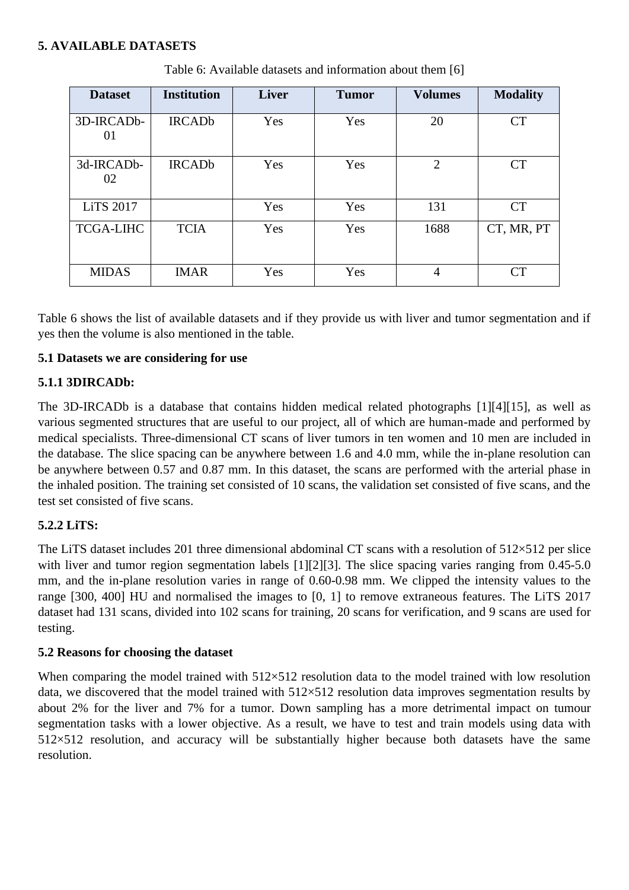#### **5. AVAILABLE DATASETS**

| <b>Dataset</b>   | <b>Institution</b> | <b>Liver</b> | <b>Tumor</b> | <b>Volumes</b> | <b>Modality</b> |
|------------------|--------------------|--------------|--------------|----------------|-----------------|
| 3D-IRCADb-<br>01 | <b>IRCADb</b>      | Yes          | Yes          | 20             | <b>CT</b>       |
| 3d-IRCADb-<br>02 | <b>IRCADb</b>      | Yes          | Yes          | $\overline{2}$ | <b>CT</b>       |
| <b>LiTS 2017</b> |                    | Yes          | Yes          | 131            | <b>CT</b>       |
| <b>TCGA-LIHC</b> | <b>TCIA</b>        | Yes          | Yes          | 1688           | CT, MR, PT      |
| <b>MIDAS</b>     | <b>IMAR</b>        | Yes          | Yes          | $\overline{4}$ | CT              |

Table 6: Available datasets and information about them [6]

Table 6 shows the list of available datasets and if they provide us with liver and tumor segmentation and if yes then the volume is also mentioned in the table.

# **5.1 Datasets we are considering for use**

# **5.1.1 3DIRCADb:**

The 3D-IRCADb is a database that contains hidden medical related photographs [1][4][15], as well as various segmented structures that are useful to our project, all of which are human-made and performed by medical specialists. Three-dimensional CT scans of liver tumors in ten women and 10 men are included in the database. The slice spacing can be anywhere between 1.6 and 4.0 mm, while the in-plane resolution can be anywhere between 0.57 and 0.87 mm. In this dataset, the scans are performed with the arterial phase in the inhaled position. The training set consisted of 10 scans, the validation set consisted of five scans, and the test set consisted of five scans.

# **5.2.2 LiTS:**

The LiTS dataset includes 201 three dimensional abdominal CT scans with a resolution of 512×512 per slice with liver and tumor region segmentation labels [1][2][3]. The slice spacing varies ranging from 0.45-5.0 mm, and the in-plane resolution varies in range of 0.60-0.98 mm. We clipped the intensity values to the range [300, 400] HU and normalised the images to [0, 1] to remove extraneous features. The LiTS 2017 dataset had 131 scans, divided into 102 scans for training, 20 scans for verification, and 9 scans are used for testing.

#### **5.2 Reasons for choosing the dataset**

When comparing the model trained with  $512\times512$  resolution data to the model trained with low resolution data, we discovered that the model trained with 512×512 resolution data improves segmentation results by about 2% for the liver and 7% for a tumor. Down sampling has a more detrimental impact on tumour segmentation tasks with a lower objective. As a result, we have to test and train models using data with 512×512 resolution, and accuracy will be substantially higher because both datasets have the same resolution.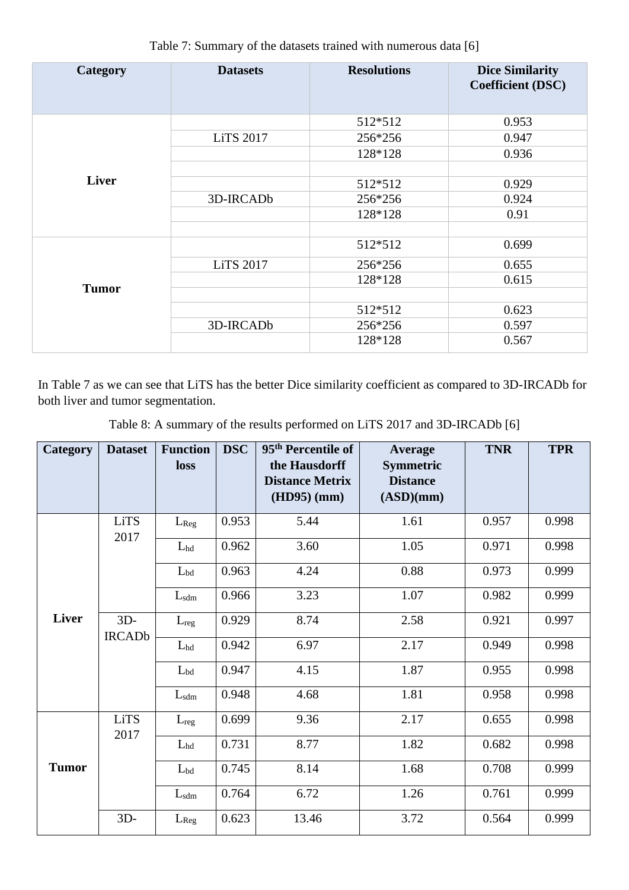| Category     | <b>Datasets</b>  | <b>Resolutions</b> | <b>Dice Similarity</b><br><b>Coefficient (DSC)</b> |
|--------------|------------------|--------------------|----------------------------------------------------|
|              |                  | 512*512            | 0.953                                              |
|              | <b>LiTS 2017</b> | 256*256            | 0.947                                              |
|              |                  | 128*128            | 0.936                                              |
|              |                  |                    |                                                    |
| <b>Liver</b> |                  | 512*512            | 0.929                                              |
|              | 3D-IRCADb        | 256*256            | 0.924                                              |
|              |                  | 128*128            | 0.91                                               |
|              |                  |                    |                                                    |
|              |                  | 512*512            | 0.699                                              |
|              | <b>LiTS 2017</b> | 256*256            | 0.655                                              |
| <b>Tumor</b> |                  | 128*128            | 0.615                                              |
|              |                  |                    |                                                    |
|              |                  | 512*512            | 0.623                                              |
|              | 3D-IRCADb        | 256*256            | 0.597                                              |
|              |                  | 128*128            | 0.567                                              |

Table 7: Summary of the datasets trained with numerous data [6]

In Table 7 as we can see that LiTS has the better Dice similarity coefficient as compared to 3D-IRCADb for both liver and tumor segmentation.

Table 8: A summary of the results performed on LiTS 2017 and 3D-IRCADb [6]

| <b>Category</b> | <b>Dataset</b>          | <b>Function</b><br>loss | <b>DSC</b> | 95 <sup>th</sup> Percentile of<br>the Hausdorff<br><b>Distance Metrix</b><br>$(HD95)$ (mm) | Average<br><b>Symmetric</b><br><b>Distance</b><br>(ASD)(mm) | <b>TNR</b> | <b>TPR</b> |
|-----------------|-------------------------|-------------------------|------------|--------------------------------------------------------------------------------------------|-------------------------------------------------------------|------------|------------|
|                 | <b>LiTS</b><br>2017     | $L_{Reg}$               | 0.953      | 5.44                                                                                       | 1.61                                                        | 0.957      | 0.998      |
|                 |                         | $L_{hd}$                | 0.962      | 3.60                                                                                       | 1.05                                                        | 0.971      | 0.998      |
|                 |                         | $L_{bd}$                | 0.963      | 4.24                                                                                       | 0.88                                                        | 0.973      | 0.999      |
|                 |                         | $L_{sdm}$               | 0.966      | 3.23                                                                                       | 1.07                                                        | 0.982      | 0.999      |
| <b>Liver</b>    | $3D -$<br><b>IRCADb</b> | $L_{reg}$               | 0.929      | 8.74                                                                                       | 2.58                                                        | 0.921      | 0.997      |
|                 |                         | $L_{hd}$                | 0.942      | 6.97                                                                                       | 2.17                                                        | 0.949      | 0.998      |
|                 |                         | $L_{bd}$                | 0.947      | 4.15                                                                                       | 1.87                                                        | 0.955      | 0.998      |
|                 |                         | $L_{sdm}$               | 0.948      | 4.68                                                                                       | 1.81                                                        | 0.958      | 0.998      |
|                 | <b>LiTS</b><br>2017     | $L_{reg}$               | 0.699      | 9.36                                                                                       | 2.17                                                        | 0.655      | 0.998      |
|                 |                         | $L_{hd}$                | 0.731      | 8.77                                                                                       | 1.82                                                        | 0.682      | 0.998      |
| <b>Tumor</b>    |                         | $L_{bd}$                | 0.745      | 8.14                                                                                       | 1.68                                                        | 0.708      | 0.999      |
|                 |                         | $L_{sdm}$               | 0.764      | 6.72                                                                                       | 1.26                                                        | 0.761      | 0.999      |
|                 | $3D-$                   | L <sub>Reg</sub>        | 0.623      | 13.46                                                                                      | 3.72                                                        | 0.564      | 0.999      |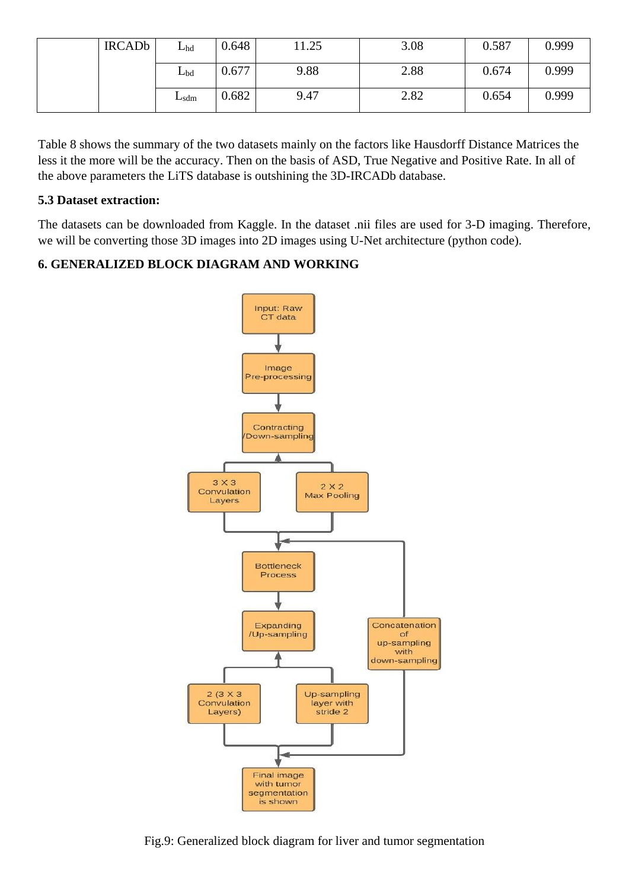| <b>IRCADb</b> | $L_{hd}$      | 0.648 | 1.25 | 3.08 | 0.587 | 0.999 |
|---------------|---------------|-------|------|------|-------|-------|
|               | $L_{bd}$      | 0.677 | 9.88 | 2.88 | 0.674 | 0.999 |
|               | $L_{\rm sdm}$ | 0.682 | 9.47 | 2.82 | 0.654 | 0.999 |

Table 8 shows the summary of the two datasets mainly on the factors like Hausdorff Distance Matrices the less it the more will be the accuracy. Then on the basis of ASD, True Negative and Positive Rate. In all of the above parameters the LiTS database is outshining the 3D-IRCADb database.

## **5.3 Dataset extraction:**

The datasets can be downloaded from Kaggle. In the dataset .nii files are used for 3-D imaging. Therefore, we will be converting those 3D images into 2D images using U-Net architecture (python code).

# **6. GENERALIZED BLOCK DIAGRAM AND WORKING**



Fig.9: Generalized block diagram for liver and tumor segmentation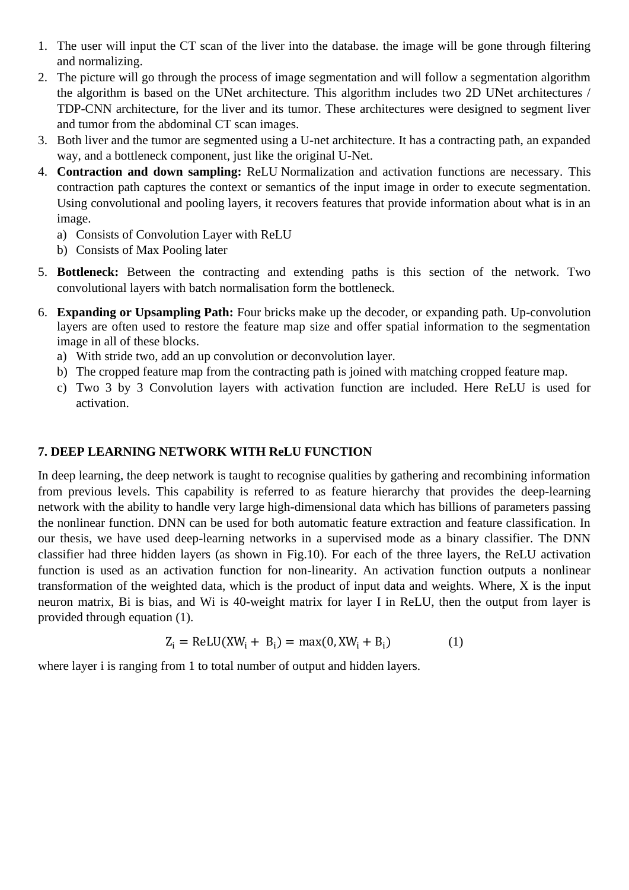- 1. The user will input the CT scan of the liver into the database. the image will be gone through filtering and normalizing.
- 2. The picture will go through the process of image segmentation and will follow a segmentation algorithm the algorithm is based on the UNet architecture. This algorithm includes two 2D UNet architectures / TDP-CNN architecture, for the liver and its tumor. These architectures were designed to segment liver and tumor from the abdominal CT scan images.
- 3. Both liver and the tumor are segmented using a U-net architecture. It has a contracting path, an expanded way, and a bottleneck component, just like the original U-Net.
- 4. **Contraction and down sampling:** ReLU Normalization and activation functions are necessary. This contraction path captures the context or semantics of the input image in order to execute segmentation. Using convolutional and pooling layers, it recovers features that provide information about what is in an image.
	- a) Consists of Convolution Layer with ReLU
	- b) Consists of Max Pooling later
- 5. **Bottleneck:** Between the contracting and extending paths is this section of the network. Two convolutional layers with batch normalisation form the bottleneck.
- 6. **Expanding or Upsampling Path:** Four bricks make up the decoder, or expanding path. Up-convolution layers are often used to restore the feature map size and offer spatial information to the segmentation image in all of these blocks.
	- a) With stride two, add an up convolution or deconvolution layer.
	- b) The cropped feature map from the contracting path is joined with matching cropped feature map.
	- c) Two 3 by 3 Convolution layers with activation function are included. Here ReLU is used for activation.

#### **7. DEEP LEARNING NETWORK WITH ReLU FUNCTION**

In deep learning, the deep network is taught to recognise qualities by gathering and recombining information from previous levels. This capability is referred to as feature hierarchy that provides the deep-learning network with the ability to handle very large high-dimensional data which has billions of parameters passing the nonlinear function. DNN can be used for both automatic feature extraction and feature classification. In our thesis, we have used deep-learning networks in a supervised mode as a binary classifier. The DNN classifier had three hidden layers (as shown in Fig.10). For each of the three layers, the ReLU activation function is used as an activation function for non-linearity. An activation function outputs a nonlinear transformation of the weighted data, which is the product of input data and weights. Where, X is the input neuron matrix, Bi is bias, and Wi is 40-weight matrix for layer I in ReLU, then the output from layer is provided through equation (1).

$$
Z_i = \text{ReLU}(XW_i + B_i) = \max(0, XW_i + B_i)
$$
 (1)

where layer i is ranging from 1 to total number of output and hidden layers.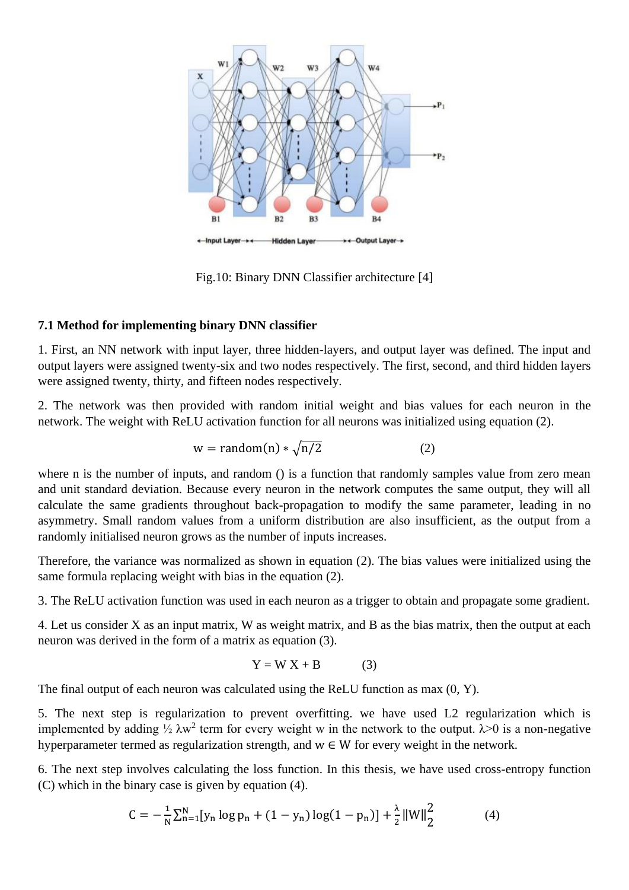

Fig.10: Binary DNN Classifier architecture [4]

#### **7.1 Method for implementing binary DNN classifier**

1. First, an NN network with input layer, three hidden-layers, and output layer was defined. The input and output layers were assigned twenty-six and two nodes respectively. The first, second, and third hidden layers were assigned twenty, thirty, and fifteen nodes respectively.

2. The network was then provided with random initial weight and bias values for each neuron in the network. The weight with ReLU activation function for all neurons was initialized using equation (2).

$$
w = random(n) * \sqrt{n/2}
$$
 (2)

where n is the number of inputs, and random () is a function that randomly samples value from zero mean and unit standard deviation. Because every neuron in the network computes the same output, they will all calculate the same gradients throughout back-propagation to modify the same parameter, leading in no asymmetry. Small random values from a uniform distribution are also insufficient, as the output from a randomly initialised neuron grows as the number of inputs increases.

Therefore, the variance was normalized as shown in equation (2). The bias values were initialized using the same formula replacing weight with bias in the equation (2).

3. The ReLU activation function was used in each neuron as a trigger to obtain and propagate some gradient.

4. Let us consider X as an input matrix, W as weight matrix, and B as the bias matrix, then the output at each neuron was derived in the form of a matrix as equation (3).

$$
Y = W X + B \tag{3}
$$

The final output of each neuron was calculated using the ReLU function as max (0, Y).

5. The next step is regularization to prevent overfitting. we have used L2 regularization which is implemented by adding  $\frac{1}{2} \lambda w^2$  term for every weight w in the network to the output.  $\lambda > 0$  is a non-negative hyperparameter termed as regularization strength, and  $w \in W$  for every weight in the network.

6. The next step involves calculating the loss function. In this thesis, we have used cross-entropy function (C) which in the binary case is given by equation (4).

$$
C = -\frac{1}{N} \sum_{n=1}^{N} [y_n \log p_n + (1 - y_n) \log(1 - p_n)] + \frac{\lambda}{2} ||W||_2^2
$$
 (4)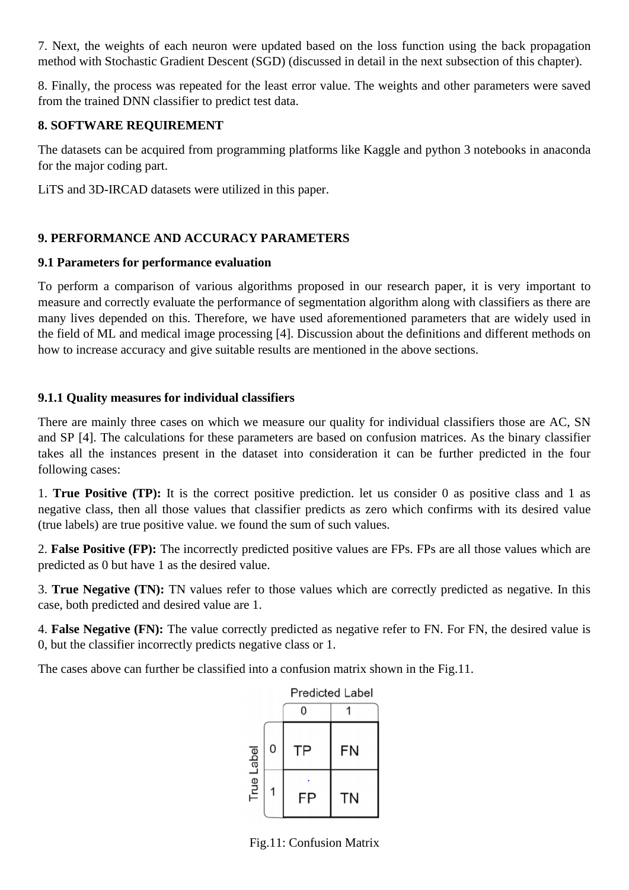7. Next, the weights of each neuron were updated based on the loss function using the back propagation method with Stochastic Gradient Descent (SGD) (discussed in detail in the next subsection of this chapter).

8. Finally, the process was repeated for the least error value. The weights and other parameters were saved from the trained DNN classifier to predict test data.

#### **8. SOFTWARE REQUIREMENT**

The datasets can be acquired from programming platforms like Kaggle and python 3 notebooks in anaconda for the major coding part.

LiTS and 3D-IRCAD datasets were utilized in this paper.

## **9. PERFORMANCE AND ACCURACY PARAMETERS**

#### **9.1 Parameters for performance evaluation**

To perform a comparison of various algorithms proposed in our research paper, it is very important to measure and correctly evaluate the performance of segmentation algorithm along with classifiers as there are many lives depended on this. Therefore, we have used aforementioned parameters that are widely used in the field of ML and medical image processing [4]. Discussion about the definitions and different methods on how to increase accuracy and give suitable results are mentioned in the above sections.

#### **9.1.1 Quality measures for individual classifiers**

There are mainly three cases on which we measure our quality for individual classifiers those are AC, SN and SP [4]. The calculations for these parameters are based on confusion matrices. As the binary classifier takes all the instances present in the dataset into consideration it can be further predicted in the four following cases:

1. **True Positive (TP):** It is the correct positive prediction. let us consider 0 as positive class and 1 as negative class, then all those values that classifier predicts as zero which confirms with its desired value (true labels) are true positive value. we found the sum of such values.

2. **False Positive (FP):** The incorrectly predicted positive values are FPs. FPs are all those values which are predicted as 0 but have 1 as the desired value.

3. **True Negative (TN):** TN values refer to those values which are correctly predicted as negative. In this case, both predicted and desired value are 1.

4. **False Negative (FN):** The value correctly predicted as negative refer to FN. For FN, the desired value is 0, but the classifier incorrectly predicts negative class or 1.

The cases above can further be classified into a confusion matrix shown in the Fig.11.

|            |   | <b>Predicted Label</b> |    |  |  |  |
|------------|---|------------------------|----|--|--|--|
|            |   | 0                      |    |  |  |  |
|            | 0 | TΡ                     | FN |  |  |  |
| True Label |   | FP                     | ΤN |  |  |  |

Fig.11: Confusion Matrix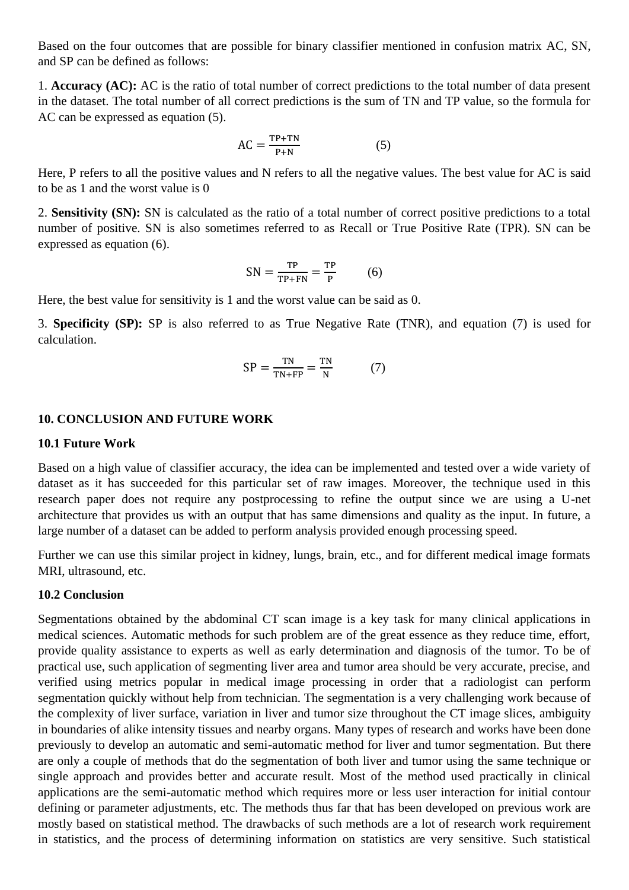Based on the four outcomes that are possible for binary classifier mentioned in confusion matrix AC, SN, and SP can be defined as follows:

1. **Accuracy (AC):** AC is the ratio of total number of correct predictions to the total number of data present in the dataset. The total number of all correct predictions is the sum of TN and TP value, so the formula for AC can be expressed as equation (5).

$$
AC = \frac{TP + TN}{P + N} \tag{5}
$$

Here, P refers to all the positive values and N refers to all the negative values. The best value for AC is said to be as 1 and the worst value is 0

2. **Sensitivity (SN):** SN is calculated as the ratio of a total number of correct positive predictions to a total number of positive. SN is also sometimes referred to as Recall or True Positive Rate (TPR). SN can be expressed as equation (6).

$$
SN = \frac{TP}{TP + FN} = \frac{TP}{P}
$$
 (6)

Here, the best value for sensitivity is 1 and the worst value can be said as 0.

3. **Specificity (SP):** SP is also referred to as True Negative Rate (TNR), and equation (7) is used for calculation.

$$
SP = \frac{TN}{TN + FP} = \frac{TN}{N}
$$
 (7)

#### **10. CONCLUSION AND FUTURE WORK**

#### **10.1 Future Work**

Based on a high value of classifier accuracy, the idea can be implemented and tested over a wide variety of dataset as it has succeeded for this particular set of raw images. Moreover, the technique used in this research paper does not require any postprocessing to refine the output since we are using a U-net architecture that provides us with an output that has same dimensions and quality as the input. In future, a large number of a dataset can be added to perform analysis provided enough processing speed.

Further we can use this similar project in kidney, lungs, brain, etc., and for different medical image formats MRI, ultrasound, etc.

#### **10.2 Conclusion**

Segmentations obtained by the abdominal CT scan image is a key task for many clinical applications in medical sciences. Automatic methods for such problem are of the great essence as they reduce time, effort, provide quality assistance to experts as well as early determination and diagnosis of the tumor. To be of practical use, such application of segmenting liver area and tumor area should be very accurate, precise, and verified using metrics popular in medical image processing in order that a radiologist can perform segmentation quickly without help from technician. The segmentation is a very challenging work because of the complexity of liver surface, variation in liver and tumor size throughout the CT image slices, ambiguity in boundaries of alike intensity tissues and nearby organs. Many types of research and works have been done previously to develop an automatic and semi-automatic method for liver and tumor segmentation. But there are only a couple of methods that do the segmentation of both liver and tumor using the same technique or single approach and provides better and accurate result. Most of the method used practically in clinical applications are the semi-automatic method which requires more or less user interaction for initial contour defining or parameter adjustments, etc. The methods thus far that has been developed on previous work are mostly based on statistical method. The drawbacks of such methods are a lot of research work requirement in statistics, and the process of determining information on statistics are very sensitive. Such statistical